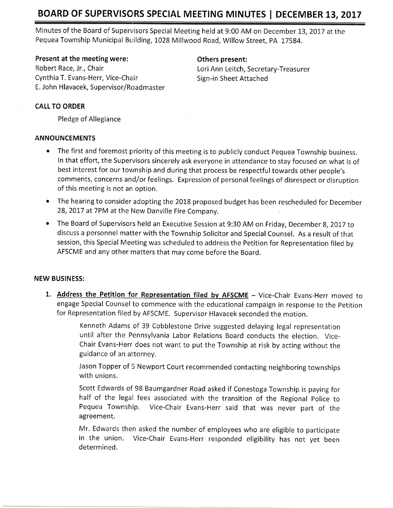# BOARD OF SUPERVISORS SPECIAL MEETING MINUTES | DECEMBER 13, 2017

Minutes of the Board of Supervisors Special Meeting held at 9:00 AM on December 13, 2017 at the Pequea Township Municipal Building, 1028 Millwood Road, Willow Street, PA 17584.

#### Present at the meeting were:

Robert Race, Jr,, Chair Cynthia T. Evans-Herr, Vice-Chair E. John Hlavacek, Supervisor/Roadmaster

#### Others present:

Lori Ann Leitch, Secretary-Treasurer Sign-in Sheet Attached

### CALL TO ORDER

Pledge of Allegiance

### ANNOUNCEMENTS

- . The first and foremost prriority of this meeting is to publicly conduct Pequea Township business. In that effort, the Supervisors sincerely ask everyone in attendance to stay focused on what is of best interest for our township and during that process be respectful towards other people's comments, concerns and/or feelings. Expression of personal feelings of disrespect or disruption of this meeting is not an option.
- The hearing to consider adopting the 2018 proposed budget has been rescheduled for December 28, 2017 at 7PM at the New Danville Fire Company.
- o The Board of Supervisors held an Executive Session at 9:30 AM on Friday, December B,2OI7 to discuss a personnel matter with the Township Solicitor and Special Counsel. As a result of that session, this Special Meeting was scheduled to address the Petition for Representation filed by AFSCME and any other rnatters that may come before the Board.

#### NEW BUSINESS:

1. Address the Petition for Representation filed by AFSCME - Vice-Chair Evans-Herr moved to engage Special Counsel to commence with the educational campaign in response to the Petition for Representation filed by AFSCME, Supervisor Hlavacek seconded the motion.

> Kenneth Adams of 39 Cobblestone Drive suggested delaying legal representation until after the Pennsylvania Labor Relations Board conducts the election. Vice-Chair Evans-Herr does not want to put the Township at risk by acting without the guidance of an attorney.

> Jason Topper of 5 Newport Court recommended contacting neighboring townships with unions.

> Scott Edwards of'98 Baumgardner Road asked if Conestoga Township is paying for half of the legal fees associated with the transition of the Regional police to Pequea Township. Vice-Chair Evans-Herr said that was never part of the agreement.

> Mr. Edwards then asked the number of employees who are eligible to participate in the union. Vice-Chair Evans-Herr responded eligibility has not yet been determined.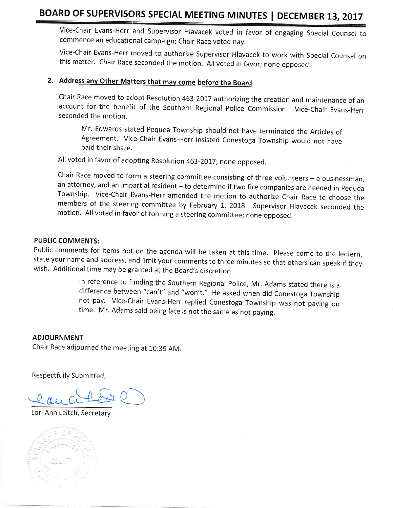Vice-Chair Evans-Herr and Supervisor Hlavacek voted in favor of engaging Special Counsel to commence an educational campaign; Chair Race voted nay.

Vice-Chair Evans-Herr rnoved to authorize Supervisor Hlavacek to work with Special Counsel on this matter. Chair Race seconded the motion, All voted in favor; none opposed.

## 2. Address any Other Matters that may come before the Board

Chair Race moved to aclopt Resolution 463-2017 authorizing the creation and maintenance of an account for the benefit of the Southern Regional Police Commission. Vice-Chair Evans-Herr seconded the motion.

Mr. Edwards stated Pequea Township should not have terminated the Articles of Agreement. Vice-Chair Evans-Herr insisted Conestoga Township would not have paid their share.

All voted in favor of adopting Resolution 463-2017; none opposed.

Chair Race moved to form a steering committee consisting of three volunteers  $-$  a businessman, an attorney, and an impartial resident - to determine if two fire companies are needed in Pequea Township. Vice-Chair Evans-Herr amended the motion to authorize Chair Race to choose the members of the steering committee by February 1, 2018. Supervisor Hlavacek seconded the motion. All voted in favor of forming a steering committee; none opposed.

### PUBLIC COMMENTS:

Public comments for items not on the agenda will be taken at this time. Please come to the lectern, state your name and address, and limit your comments to three minutes so that others can speak if they wish. Additional time may be granted at the Board's discretion.

> ln reference to funding the Southern Regional Police, Mr. Adams stated there is <sup>a</sup> difference between "can't" and "won't." He asked when did Conestoga Township not pay. Vice-Chair Evans-Herr replied Conestoga Township was not paying on time. Mr. Adams said being late is not the same as not paying,

ADJOURNMENT

Chair Race adjourned the meeting at 10:39 AM.

Respectfully Submitted,

 $0<sub>0</sub>$ 

Lori Ann Leitch, Secretary